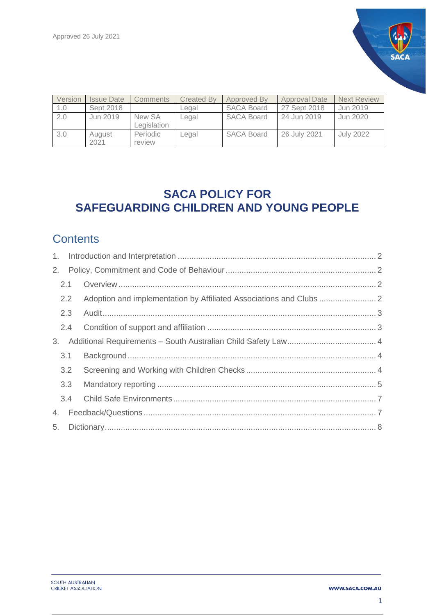

| Version | <b>Issue Date</b> | Comments    | <b>Created By</b> | Approved By       | Approval Date | <b>Next Review</b> |
|---------|-------------------|-------------|-------------------|-------------------|---------------|--------------------|
| 1.0     | Sept 2018         |             | Legal             | <b>SACA Board</b> | 27 Sept 2018  | Jun 2019           |
| 2.0     | Jun 2019          | New SA      | Legal             | <b>SACA Board</b> | 24 Jun 2019   | Jun 2020           |
|         |                   | Legislation |                   |                   |               |                    |
| 3.0     | August            | Periodic    | Legal             | <b>SACA Board</b> | 26 July 2021  | <b>July 2022</b>   |
|         | 2021              | review      |                   |                   |               |                    |

# **SACA POLICY FOR SAFEGUARDING CHILDREN AND YOUNG PEOPLE**

# **Contents**

| $1_{\cdot}$ |               |  |  |
|-------------|---------------|--|--|
| 2.          |               |  |  |
|             | 2.1           |  |  |
|             | $2.2^{\circ}$ |  |  |
|             | 2.3           |  |  |
|             | 2.4           |  |  |
| 3.          |               |  |  |
|             | 3.1           |  |  |
|             | 3.2           |  |  |
|             | 3.3           |  |  |
|             | 3.4           |  |  |
| 4.          |               |  |  |
| 5.          |               |  |  |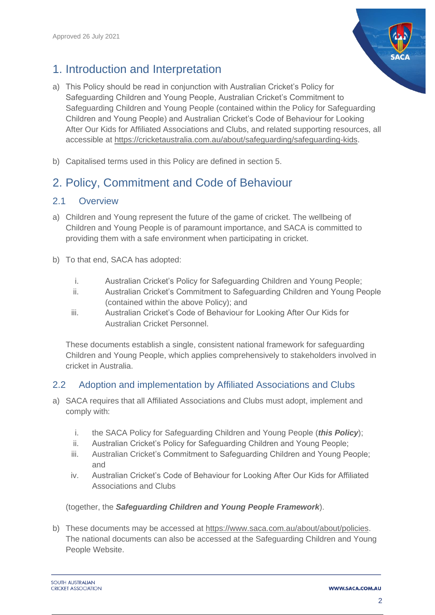# <span id="page-1-0"></span>1. Introduction and Interpretation

- a) This Policy should be read in conjunction with Australian Cricket's Policy for Safeguarding Children and Young People, Australian Cricket's Commitment to Safeguarding Children and Young People (contained within the Policy for Safeguarding Children and Young People) and Australian Cricket's Code of Behaviour for Looking After Our Kids for Affiliated Associations and Clubs, and related supporting resources, all accessible at [https://cricketaustralia.com.au/about/safeguarding/safeguarding-kids.](https://cricketaustralia.com.au/about/safeguarding/safeguarding-kids)
- b) Capitalised terms used in this Policy are defined in section 5.

# <span id="page-1-1"></span>2. Policy, Commitment and Code of Behaviour

### <span id="page-1-2"></span>2.1 Overview

- a) Children and Young represent the future of the game of cricket. The wellbeing of Children and Young People is of paramount importance, and SACA is committed to providing them with a safe environment when participating in cricket.
- b) To that end, SACA has adopted:
	- i. Australian Cricket's Policy for Safeguarding Children and Young People;
	- ii. Australian Cricket's Commitment to Safeguarding Children and Young People (contained within the above Policy); and
	- iii. Australian Cricket's Code of Behaviour for Looking After Our Kids for Australian Cricket Personnel.

These documents establish a single, consistent national framework for safeguarding Children and Young People, which applies comprehensively to stakeholders involved in cricket in Australia.

### <span id="page-1-3"></span>2.2 Adoption and implementation by Affiliated Associations and Clubs

- a) SACA requires that all Affiliated Associations and Clubs must adopt, implement and comply with:
	- i. the SACA Policy for Safeguarding Children and Young People (*this Policy*);
	- ii. Australian Cricket's Policy for Safeguarding Children and Young People;
	- iii. Australian Cricket's Commitment to Safeguarding Children and Young People; and
	- iv. Australian Cricket's Code of Behaviour for Looking After Our Kids for Affiliated Associations and Clubs

#### (together, the *Safeguarding Children and Young People Framework*).

b) These documents may be accessed at [https://www.saca.com.au/about/about/policies.](https://www.saca.com.au/about/about/policies) The national documents can also be accessed at the Safeguarding Children and Young People Website.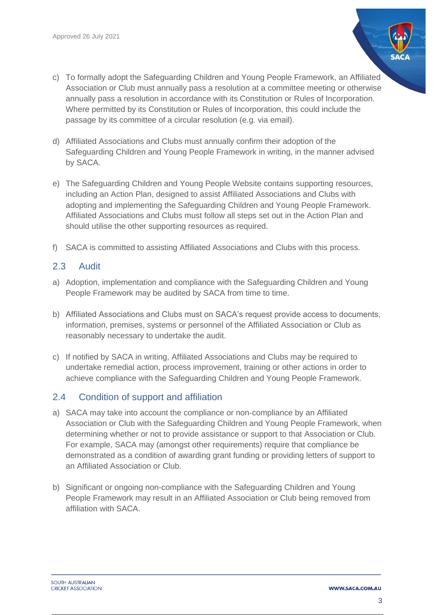- c) To formally adopt the Safeguarding Children and Young People Framework, an Affiliated Association or Club must annually pass a resolution at a committee meeting or otherwise annually pass a resolution in accordance with its Constitution or Rules of Incorporation. Where permitted by its Constitution or Rules of Incorporation, this could include the passage by its committee of a circular resolution (e.g. via email).
- d) Affiliated Associations and Clubs must annually confirm their adoption of the Safeguarding Children and Young People Framework in writing, in the manner advised by SACA.
- e) The Safeguarding Children and Young People Website contains supporting resources, including an Action Plan, designed to assist Affiliated Associations and Clubs with adopting and implementing the Safeguarding Children and Young People Framework. Affiliated Associations and Clubs must follow all steps set out in the Action Plan and should utilise the other supporting resources as required.
- f) SACA is committed to assisting Affiliated Associations and Clubs with this process.

### <span id="page-2-0"></span>2.3 Audit

- a) Adoption, implementation and compliance with the Safeguarding Children and Young People Framework may be audited by SACA from time to time.
- b) Affiliated Associations and Clubs must on SACA's request provide access to documents, information, premises, systems or personnel of the Affiliated Association or Club as reasonably necessary to undertake the audit.
- c) If notified by SACA in writing, Affiliated Associations and Clubs may be required to undertake remedial action, process improvement, training or other actions in order to achieve compliance with the Safeguarding Children and Young People Framework.

### <span id="page-2-1"></span>2.4 Condition of support and affiliation

- a) SACA may take into account the compliance or non-compliance by an Affiliated Association or Club with the Safeguarding Children and Young People Framework, when determining whether or not to provide assistance or support to that Association or Club. For example, SACA may (amongst other requirements) require that compliance be demonstrated as a condition of awarding grant funding or providing letters of support to an Affiliated Association or Club.
- b) Significant or ongoing non-compliance with the Safeguarding Children and Young People Framework may result in an Affiliated Association or Club being removed from affiliation with SACA.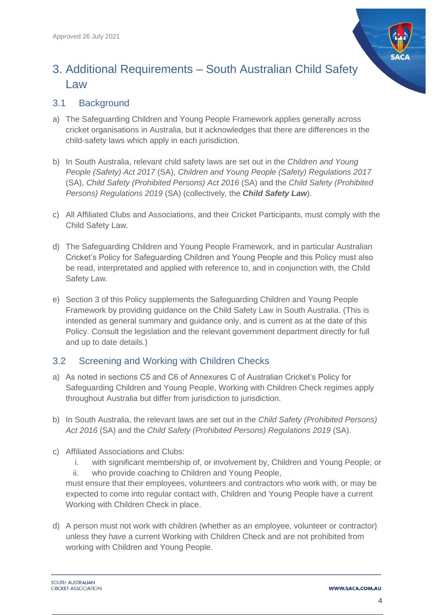

# <span id="page-3-0"></span>3. Additional Requirements – South Australian Child Safety Law

### <span id="page-3-1"></span>3.1 Background

- a) The Safeguarding Children and Young People Framework applies generally across cricket organisations in Australia, but it acknowledges that there are differences in the child-safety laws which apply in each jurisdiction.
- b) In South Australia, relevant child safety laws are set out in the *Children and Young People (Safety) Act 2017* (SA), *Children and Young People (Safety) Regulations 2017* (SA), *Child Safety (Prohibited Persons) Act 2016* (SA) and the *Child Safety (Prohibited Persons) Regulations 2019* (SA) (collectively, the *Child Safety Law*).
- c) All Affiliated Clubs and Associations, and their Cricket Participants, must comply with the Child Safety Law.
- d) The Safeguarding Children and Young People Framework, and in particular Australian Cricket's Policy for Safeguarding Children and Young People and this Policy must also be read, interpretated and applied with reference to, and in conjunction with, the Child Safety Law.
- e) Section 3 of this Policy supplements the Safeguarding Children and Young People Framework by providing guidance on the Child Safety Law in South Australia. (This is intended as general summary and guidance only, and is current as at the date of this Policy. Consult the legislation and the relevant government department directly for full and up to date details.)

## <span id="page-3-2"></span>3.2 Screening and Working with Children Checks

- a) As noted in sections C5 and C6 of Annexures C of Australian Cricket's Policy for Safeguarding Children and Young People, Working with Children Check regimes apply throughout Australia but differ from jurisdiction to jurisdiction.
- b) In South Australia, the relevant laws are set out in the *Child Safety (Prohibited Persons) Act 2016* (SA) and the *Child Safety (Prohibited Persons) Regulations 2019* (SA).
- c) Affiliated Associations and Clubs:
	- i. with significant membership of, or involvement by, Children and Young People; or ii. who provide coaching to Children and Young People,

must ensure that their employees, volunteers and contractors who work with, or may be expected to come into regular contact with, Children and Young People have a current Working with Children Check in place.

d) A person must not work with children (whether as an employee, volunteer or contractor) unless they have a current Working with Children Check and are not prohibited from working with Children and Young People.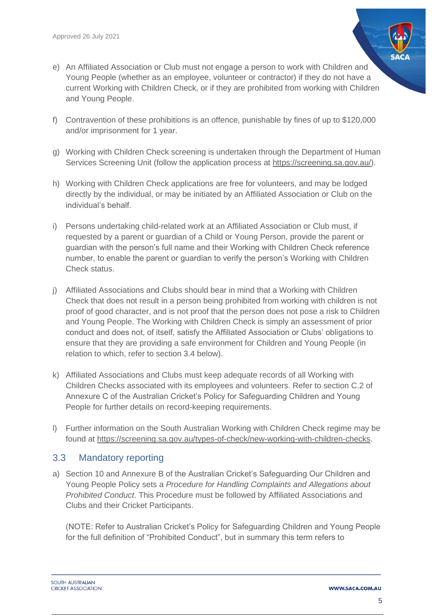- e) An Affiliated Association or Club must not engage a person to work with Children and Young People (whether as an employee, volunteer or contractor) if they do not have a current Working with Children Check, or if they are prohibited from working with Children and Young People.
- f) Contravention of these prohibitions is an offence, punishable by fines of up to \$120,000 and/or imprisonment for 1 year.
- g) Working with Children Check screening is undertaken through the Department of Human Services Screening Unit (follow the application process at [https://screening.sa.gov.au/\)](https://screening.sa.gov.au/).
- h) Working with Children Check applications are free for volunteers, and may be lodged directly by the individual, or may be initiated by an Affiliated Association or Club on the individual's behalf.
- i) Persons undertaking child-related work at an Affiliated Association or Club must, if requested by a parent or guardian of a Child or Young Person, provide the parent or guardian with the person's full name and their Working with Children Check reference number, to enable the parent or guardian to verify the person's Working with Children Check status.
- j) Affiliated Associations and Clubs should bear in mind that a Working with Children Check that does not result in a person being prohibited from working with children is not proof of good character, and is not proof that the person does not pose a risk to Children and Young People. The Working with Children Check is simply an assessment of prior conduct and does not, of itself, satisfy the Affiliated Association or Clubs' obligations to ensure that they are providing a safe environment for Children and Young People (in relation to which, refer to section 3.4 below).
- k) Affiliated Associations and Clubs must keep adequate records of all Working with Children Checks associated with its employees and volunteers. Refer to section C.2 of Annexure C of the Australian Cricket's Policy for Safeguarding Children and Young People for further details on record-keeping requirements.
- l) Further information on the South Australian Working with Children Check regime may be found at [https://screening.sa.gov.au/types-of-check/new-working-with-children-checks.](https://screening.sa.gov.au/types-of-check/new-working-with-children-checks)

### <span id="page-4-0"></span>3.3 Mandatory reporting

a) Section 10 and Annexure B of the Australian Cricket's Safeguarding Our Children and Young People Policy sets a *Procedure for Handling Complaints and Allegations about Prohibited Conduct*. This Procedure must be followed by Affiliated Associations and Clubs and their Cricket Participants.

(NOTE: Refer to Australian Cricket's Policy for Safeguarding Children and Young People for the full definition of "Prohibited Conduct", but in summary this term refers to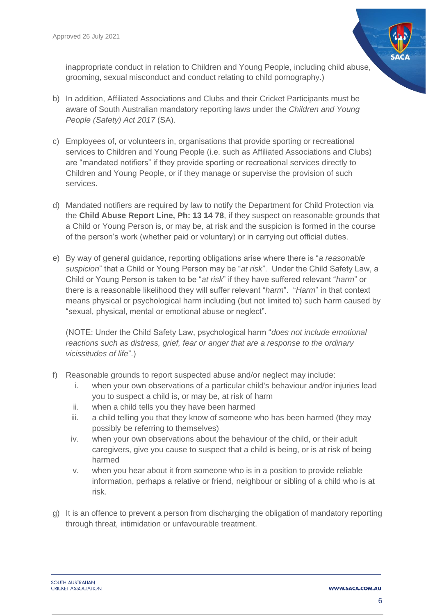

inappropriate conduct in relation to Children and Young People, including child abuse, grooming, sexual misconduct and conduct relating to child pornography.)

- b) In addition, Affiliated Associations and Clubs and their Cricket Participants must be aware of South Australian mandatory reporting laws under the *Children and Young People (Safety) Act 2017* (SA).
- c) Employees of, or volunteers in, organisations that provide sporting or recreational services to Children and Young People (i.e. such as Affiliated Associations and Clubs) are "mandated notifiers" if they provide sporting or recreational services directly to Children and Young People, or if they manage or supervise the provision of such services.
- d) Mandated notifiers are required by law to notify the Department for Child Protection via the **Child Abuse Report Line, Ph: 13 14 78**, if they suspect on reasonable grounds that a Child or Young Person is, or may be, at risk and the suspicion is formed in the course of the person's work (whether paid or voluntary) or in carrying out official duties.
- e) By way of general guidance, reporting obligations arise where there is "*a reasonable suspicion*" that a Child or Young Person may be "*at risk*". Under the Child Safety Law, a Child or Young Person is taken to be "*at risk*" if they have suffered relevant "*harm*" or there is a reasonable likelihood they will suffer relevant "*harm*". "*Harm*" in that context means physical or psychological harm including (but not limited to) such harm caused by "sexual, physical, mental or emotional abuse or neglect".

(NOTE: Under the Child Safety Law, psychological harm "*does not include emotional reactions such as distress, grief, fear or anger that are a response to the ordinary vicissitudes of life*".)

- f) Reasonable grounds to report suspected abuse and/or neglect may include:
	- i. when your own observations of a particular child's behaviour and/or injuries lead you to suspect a child is, or may be, at risk of harm
	- ii. when a child tells you they have been harmed
	- iii. a child telling you that they know of someone who has been harmed (they may possibly be referring to themselves)
	- iv. when your own observations about the behaviour of the child, or their adult caregivers, give you cause to suspect that a child is being, or is at risk of being harmed
	- v. when you hear about it from someone who is in a position to provide reliable information, perhaps a relative or friend, neighbour or sibling of a child who is at risk.
- g) It is an offence to prevent a person from discharging the obligation of mandatory reporting through threat, intimidation or unfavourable treatment.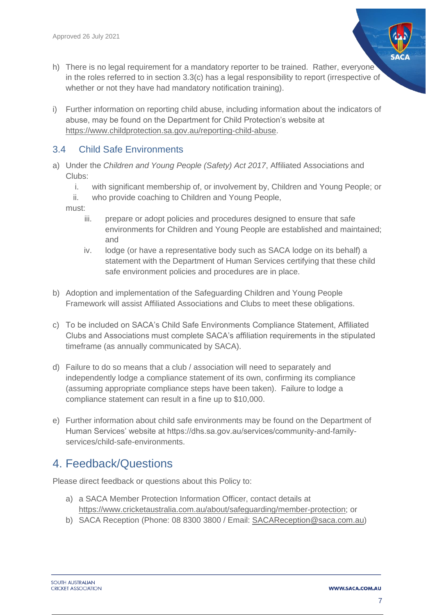- h) There is no legal requirement for a mandatory reporter to be trained. Rather, everyone in the roles referred to in section 3.3(c) has a legal responsibility to report (irrespective of whether or not they have had mandatory notification training).
- i) Further information on reporting child abuse, including information about the indicators of abuse, may be found on the Department for Child Protection's website at [https://www.childprotection.sa.gov.au/reporting-child-abuse.](https://www.childprotection.sa.gov.au/reporting-child-abuse)

### <span id="page-6-0"></span>3.4 Child Safe Environments

- a) Under the *Children and Young People (Safety) Act 2017*, Affiliated Associations and Clubs:
	- i. with significant membership of, or involvement by, Children and Young People; or
	- ii. who provide coaching to Children and Young People,
	- must:
		- iii. prepare or adopt policies and procedures designed to ensure that safe environments for Children and Young People are established and maintained; and
		- iv. lodge (or have a representative body such as SACA lodge on its behalf) a statement with the Department of Human Services certifying that these child safe environment policies and procedures are in place.
- b) Adoption and implementation of the Safeguarding Children and Young People Framework will assist Affiliated Associations and Clubs to meet these obligations.
- c) To be included on SACA's Child Safe Environments Compliance Statement, Affiliated Clubs and Associations must complete SACA's affiliation requirements in the stipulated timeframe (as annually communicated by SACA).
- d) Failure to do so means that a club / association will need to separately and independently lodge a compliance statement of its own, confirming its compliance (assuming appropriate compliance steps have been taken). Failure to lodge a compliance statement can result in a fine up to \$10,000.
- e) Further information about child safe environments may be found on the Department of Human Services' website at https://dhs.sa.gov.au/services/community-and-familyservices/child-safe-environments.

# <span id="page-6-1"></span>4. Feedback/Questions

Please direct feedback or questions about this Policy to:

- a) a SACA Member Protection Information Officer, contact details at [https://www.cricketaustralia.com.au/about/safeguarding/member-protection;](https://www.cricketaustralia.com.au/about/safeguarding/member-protection) or
- b) SACA Reception (Phone: 08 8300 3800 / Email: [SACAReception@saca.com.au\)](mailto:SACAReception@saca.com.au)